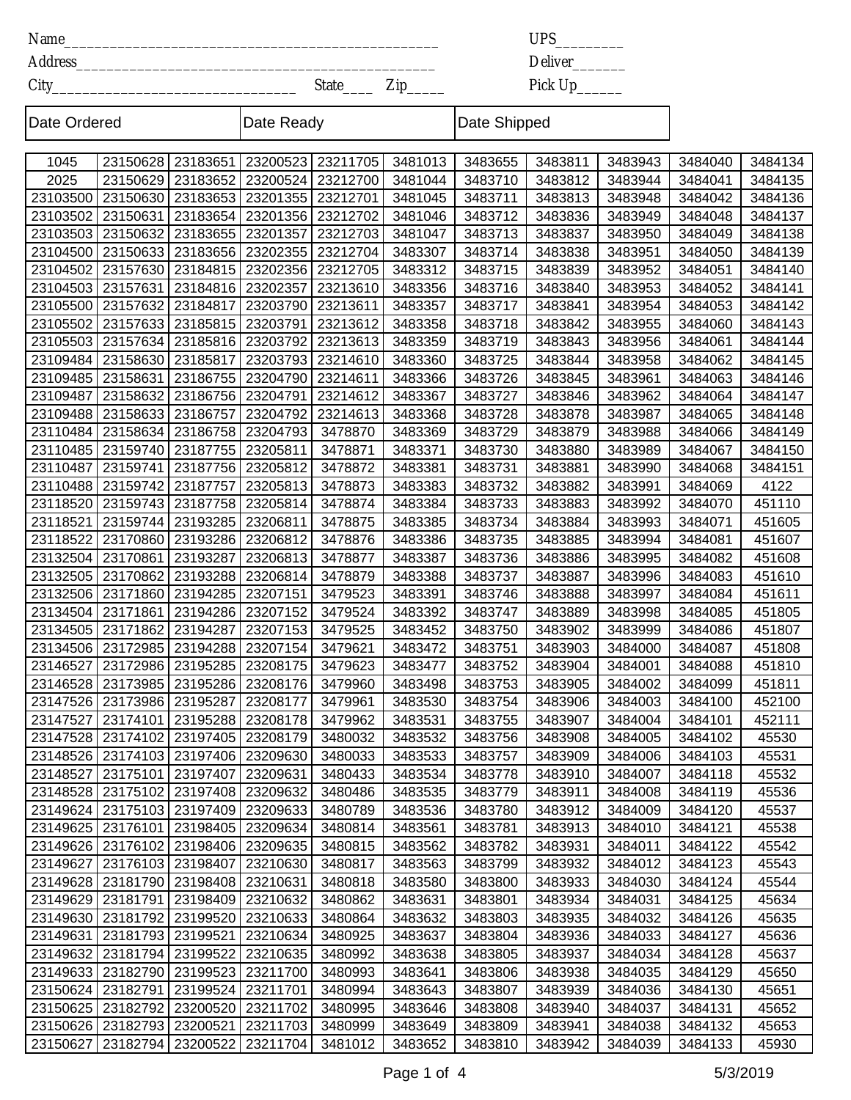Name\_\_\_\_\_\_\_\_\_\_\_\_\_\_\_\_\_\_\_\_\_\_\_\_\_\_\_\_\_\_\_\_\_\_\_\_\_\_\_\_\_\_\_\_\_\_\_\_\_

Address\_\_\_\_\_\_\_\_\_\_\_\_\_\_\_\_\_\_\_\_\_\_\_\_\_\_\_\_\_\_\_\_\_\_\_\_\_\_\_\_\_\_\_\_\_\_\_

State\_\_\_\_ Zip\_\_\_\_\_ City\_\_\_\_\_\_\_\_\_\_\_\_\_\_\_\_\_\_\_\_\_\_\_\_\_\_\_\_\_\_\_\_

```
UPS_________
```
Deliver\_\_\_\_\_\_\_ Pick Up\_\_\_\_\_\_

 $\overline{\phantom{a}}$ 

| Date Ordered |                                |          | Date Ready                                  |          |         | Date Shipped |         |         |         |         |
|--------------|--------------------------------|----------|---------------------------------------------|----------|---------|--------------|---------|---------|---------|---------|
| 1045         | 23150628                       | 23183651 | 23200523                                    | 23211705 | 3481013 | 3483655      | 3483811 | 3483943 | 3484040 | 3484134 |
| 2025         | 23150629                       | 23183652 | 23200524                                    | 23212700 | 3481044 | 3483710      | 3483812 | 3483944 | 3484041 | 3484135 |
| 23103500     | 23150630                       | 23183653 | 23201355                                    | 23212701 | 3481045 | 3483711      | 3483813 | 3483948 | 3484042 | 3484136 |
| 23103502     | 23150631                       | 23183654 | 23201356                                    | 23212702 | 3481046 | 3483712      | 3483836 | 3483949 | 3484048 | 3484137 |
| 23103503     | 23150632                       | 23183655 | 23201357                                    | 23212703 | 3481047 | 3483713      | 3483837 | 3483950 | 3484049 | 3484138 |
| 23104500     | 23150633                       | 23183656 | 23202355                                    | 23212704 | 3483307 | 3483714      | 3483838 | 3483951 | 3484050 | 3484139 |
| 23104502     | 23157630                       | 23184815 | 23202356                                    | 23212705 | 3483312 | 3483715      | 3483839 | 3483952 | 3484051 | 3484140 |
| 23104503     | 23157631                       | 23184816 | 23202357                                    | 23213610 | 3483356 | 3483716      | 3483840 | 3483953 | 3484052 | 3484141 |
| 23105500     | 23157632                       | 23184817 | 23203790                                    | 23213611 | 3483357 | 3483717      | 3483841 | 3483954 | 3484053 | 3484142 |
| 23105502     | 23157633                       | 23185815 | 23203791                                    | 23213612 | 3483358 | 3483718      | 3483842 | 3483955 | 3484060 | 3484143 |
| 23105503     | 23157634                       | 23185816 | 23203792                                    | 23213613 | 3483359 | 3483719      | 3483843 | 3483956 | 3484061 | 3484144 |
| 23109484     | 23158630                       | 23185817 | 23203793                                    | 23214610 | 3483360 | 3483725      | 3483844 | 3483958 | 3484062 | 3484145 |
| 23109485     | 23158631                       | 23186755 | 23204790                                    | 23214611 | 3483366 | 3483726      | 3483845 | 3483961 | 3484063 | 3484146 |
| 23109487     | 23158632                       | 23186756 | 23204791                                    | 23214612 | 3483367 | 3483727      | 3483846 | 3483962 | 3484064 | 3484147 |
| 23109488     | 23158633                       | 23186757 | 23204792                                    | 23214613 | 3483368 | 3483728      | 3483878 | 3483987 | 3484065 | 3484148 |
| 23110484     | 23158634                       | 23186758 | 23204793                                    | 3478870  | 3483369 | 3483729      | 3483879 | 3483988 | 3484066 | 3484149 |
| 23110485     | 23159740                       | 23187755 | 23205811                                    | 3478871  | 3483371 | 3483730      | 3483880 | 3483989 | 3484067 | 3484150 |
| 23110487     | 23159741                       | 23187756 | 23205812                                    | 3478872  | 3483381 | 3483731      | 3483881 | 3483990 | 3484068 | 3484151 |
| 23110488     | 23159742                       | 23187757 | 23205813                                    | 3478873  | 3483383 | 3483732      | 3483882 | 3483991 | 3484069 | 4122    |
| 23118520     | 23159743                       | 23187758 | 23205814                                    | 3478874  | 3483384 | 3483733      | 3483883 | 3483992 | 3484070 | 451110  |
| 23118521     | 23159744                       | 23193285 | 23206811                                    | 3478875  | 3483385 | 3483734      | 3483884 | 3483993 | 3484071 | 451605  |
| 23118522     | 23170860                       | 23193286 | 23206812                                    | 3478876  | 3483386 | 3483735      | 3483885 | 3483994 | 3484081 | 451607  |
| 23132504     | 23170861                       | 23193287 | 23206813                                    | 3478877  | 3483387 | 3483736      | 3483886 | 3483995 | 3484082 | 451608  |
| 23132505     | 23170862                       | 23193288 | 23206814                                    | 3478879  | 3483388 | 3483737      | 3483887 | 3483996 | 3484083 | 451610  |
| 23132506     | 23171860                       | 23194285 | 23207151                                    | 3479523  | 3483391 | 3483746      | 3483888 | 3483997 | 3484084 | 451611  |
| 23134504     | 23171861                       | 23194286 | 23207152                                    | 3479524  | 3483392 | 3483747      | 3483889 | 3483998 | 3484085 | 451805  |
| 23134505     | 23171862                       | 23194287 | 23207153                                    | 3479525  | 3483452 | 3483750      | 3483902 | 3483999 | 3484086 | 451807  |
| 23134506     | 23172985                       | 23194288 | 23207154                                    | 3479621  | 3483472 | 3483751      | 3483903 | 3484000 | 3484087 | 451808  |
| 23146527     | 23172986                       | 23195285 | 23208175                                    | 3479623  | 3483477 | 3483752      | 3483904 | 3484001 | 3484088 | 451810  |
| 23146528     | 23173985                       | 23195286 | 23208176                                    | 3479960  | 3483498 | 3483753      | 3483905 | 3484002 | 3484099 | 451811  |
| 23147526     | 23173986                       | 23195287 | 23208177                                    | 3479961  | 3483530 | 3483754      | 3483906 | 3484003 | 3484100 | 452100  |
| 23147527     | 23174101                       | 23195288 | 23208178                                    | 3479962  | 3483531 | 3483755      | 3483907 | 3484004 | 3484101 | 452111  |
|              |                                |          | 23147528 23174102 23197405 23208179 3480032 |          | 3483532 | 3483756      | 3483908 | 3484005 | 3484102 | 45530   |
|              | 23148526   23174103   23197406 |          | 23209630                                    | 3480033  | 3483533 | 3483757      | 3483909 | 3484006 | 3484103 | 45531   |
| 23148527     | 23175101   23197407            |          | 23209631                                    | 3480433  | 3483534 | 3483778      | 3483910 | 3484007 | 3484118 | 45532   |
| 23148528     | 23175102   23197408            |          | 23209632                                    | 3480486  | 3483535 | 3483779      | 3483911 | 3484008 | 3484119 | 45536   |
| 23149624     | 23175103 23197409              |          | 23209633                                    | 3480789  | 3483536 | 3483780      | 3483912 | 3484009 | 3484120 | 45537   |
| 23149625     | 23176101                       | 23198405 | 23209634                                    | 3480814  | 3483561 | 3483781      | 3483913 | 3484010 | 3484121 | 45538   |
| 23149626     | 23176102 23198406              |          | 23209635                                    | 3480815  | 3483562 | 3483782      | 3483931 | 3484011 | 3484122 | 45542   |
| 23149627     | 23176103 23198407              |          | 23210630                                    | 3480817  | 3483563 | 3483799      | 3483932 | 3484012 | 3484123 | 45543   |
| 23149628     | 23181790   23198408            |          | 23210631                                    | 3480818  | 3483580 | 3483800      | 3483933 | 3484030 | 3484124 | 45544   |
| 23149629     | 23181791                       | 23198409 | 23210632                                    | 3480862  | 3483631 | 3483801      | 3483934 | 3484031 | 3484125 | 45634   |
| 23149630     | 23181792 23199520              |          | 23210633                                    | 3480864  | 3483632 | 3483803      | 3483935 | 3484032 | 3484126 | 45635   |
| 23149631     | 23181793 23199521              |          | 23210634                                    | 3480925  | 3483637 | 3483804      | 3483936 | 3484033 | 3484127 | 45636   |
| 23149632     | 23181794 23199522              |          | 23210635                                    | 3480992  | 3483638 | 3483805      | 3483937 | 3484034 | 3484128 | 45637   |
| 23149633     | 23182790 23199523              |          | 23211700                                    | 3480993  | 3483641 | 3483806      | 3483938 | 3484035 | 3484129 | 45650   |
| 23150624     | 23182791                       | 23199524 | 23211701                                    | 3480994  | 3483643 | 3483807      | 3483939 | 3484036 | 3484130 | 45651   |
| 23150625     | 23182792                       | 23200520 | 23211702                                    | 3480995  | 3483646 | 3483808      | 3483940 | 3484037 | 3484131 | 45652   |
| 23150626     | 23182793 23200521              |          | 23211703                                    | 3480999  | 3483649 | 3483809      | 3483941 | 3484038 | 3484132 | 45653   |
| 23150627     | 23182794 23200522              |          | 23211704                                    | 3481012  | 3483652 | 3483810      | 3483942 | 3484039 | 3484133 | 45930   |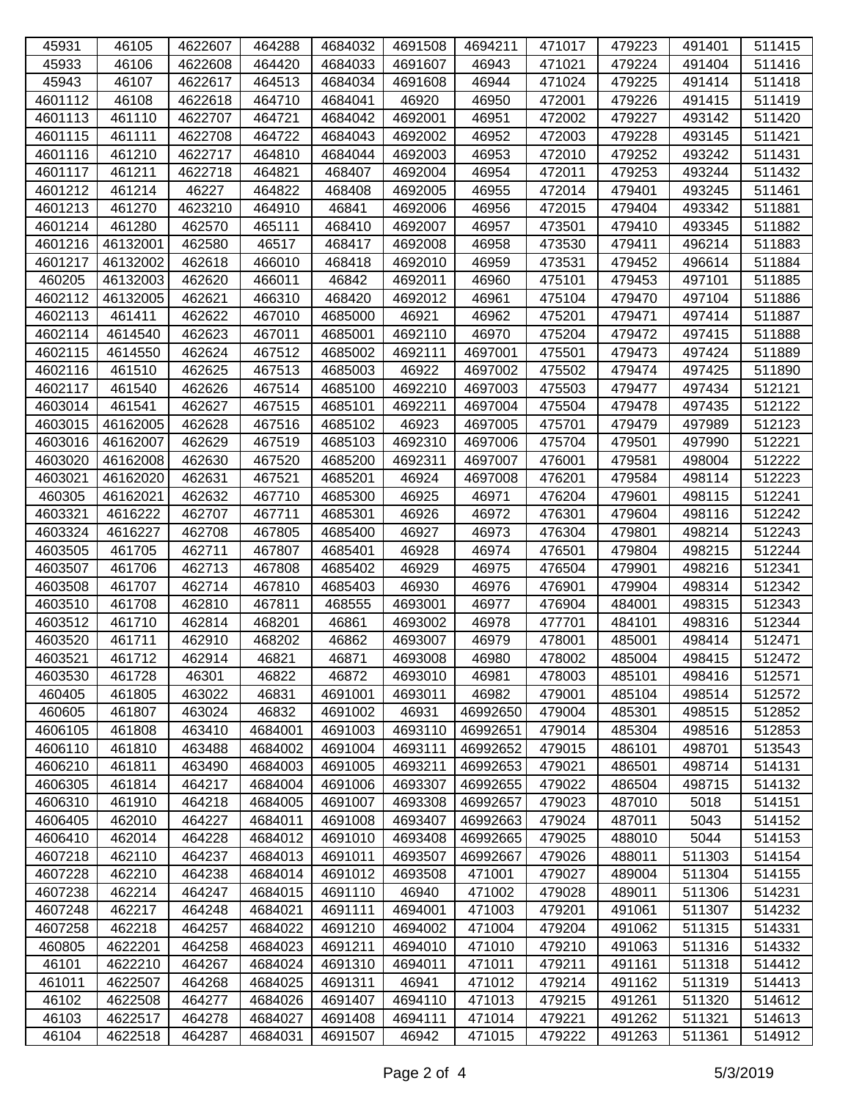| 45931   | 46105    | 4622607 | 464288  | 4684032 | 4691508 | 4694211  | 471017 | 479223 | 491401 | 511415 |
|---------|----------|---------|---------|---------|---------|----------|--------|--------|--------|--------|
| 45933   | 46106    | 4622608 | 464420  | 4684033 | 4691607 | 46943    | 471021 | 479224 | 491404 | 511416 |
| 45943   | 46107    | 4622617 | 464513  | 4684034 | 4691608 | 46944    | 471024 | 479225 | 491414 | 511418 |
| 4601112 | 46108    | 4622618 | 464710  | 4684041 | 46920   | 46950    | 472001 | 479226 | 491415 | 511419 |
| 4601113 | 461110   | 4622707 | 464721  | 4684042 | 4692001 | 46951    | 472002 | 479227 | 493142 | 511420 |
| 4601115 | 461111   | 4622708 | 464722  | 4684043 | 4692002 | 46952    | 472003 | 479228 | 493145 | 511421 |
| 4601116 | 461210   | 4622717 | 464810  | 4684044 | 4692003 | 46953    | 472010 | 479252 | 493242 | 511431 |
| 4601117 | 461211   | 4622718 | 464821  | 468407  | 4692004 | 46954    | 472011 | 479253 | 493244 | 511432 |
| 4601212 | 461214   | 46227   | 464822  | 468408  | 4692005 | 46955    | 472014 | 479401 | 493245 | 511461 |
| 4601213 | 461270   | 4623210 | 464910  | 46841   | 4692006 | 46956    | 472015 | 479404 | 493342 | 511881 |
| 4601214 | 461280   | 462570  | 465111  | 468410  | 4692007 | 46957    | 473501 | 479410 | 493345 | 511882 |
| 4601216 | 46132001 | 462580  | 46517   | 468417  | 4692008 | 46958    | 473530 | 479411 | 496214 | 511883 |
| 4601217 | 46132002 | 462618  | 466010  | 468418  | 4692010 | 46959    | 473531 | 479452 | 496614 | 511884 |
| 460205  | 46132003 | 462620  | 466011  | 46842   | 4692011 | 46960    | 475101 | 479453 | 497101 | 511885 |
| 4602112 | 46132005 | 462621  | 466310  | 468420  | 4692012 | 46961    | 475104 | 479470 | 497104 | 511886 |
| 4602113 | 461411   | 462622  | 467010  | 4685000 | 46921   | 46962    | 475201 | 479471 | 497414 | 511887 |
| 4602114 | 4614540  | 462623  | 467011  | 4685001 | 4692110 | 46970    | 475204 | 479472 | 497415 | 511888 |
| 4602115 | 4614550  | 462624  | 467512  | 4685002 | 4692111 | 4697001  | 475501 | 479473 | 497424 | 511889 |
| 4602116 | 461510   | 462625  | 467513  | 4685003 | 46922   | 4697002  | 475502 | 479474 | 497425 | 511890 |
| 4602117 | 461540   | 462626  | 467514  | 4685100 | 4692210 | 4697003  | 475503 | 479477 | 497434 | 512121 |
| 4603014 | 461541   | 462627  | 467515  | 4685101 | 4692211 | 4697004  | 475504 | 479478 | 497435 | 512122 |
| 4603015 | 46162005 | 462628  | 467516  | 4685102 | 46923   | 4697005  | 475701 | 479479 | 497989 | 512123 |
| 4603016 | 46162007 | 462629  | 467519  | 4685103 | 4692310 | 4697006  | 475704 | 479501 | 497990 | 512221 |
| 4603020 | 46162008 | 462630  | 467520  | 4685200 | 4692311 | 4697007  | 476001 | 479581 | 498004 | 512222 |
| 4603021 | 46162020 | 462631  | 467521  | 4685201 | 46924   | 4697008  | 476201 | 479584 | 498114 | 512223 |
| 460305  | 46162021 | 462632  | 467710  | 4685300 | 46925   | 46971    | 476204 | 479601 | 498115 | 512241 |
| 4603321 | 4616222  | 462707  | 467711  | 4685301 | 46926   | 46972    | 476301 | 479604 | 498116 | 512242 |
| 4603324 | 4616227  | 462708  | 467805  | 4685400 | 46927   | 46973    | 476304 | 479801 | 498214 | 512243 |
| 4603505 | 461705   | 462711  | 467807  | 4685401 | 46928   | 46974    | 476501 | 479804 | 498215 | 512244 |
| 4603507 | 461706   | 462713  | 467808  | 4685402 | 46929   | 46975    | 476504 | 479901 | 498216 | 512341 |
| 4603508 | 461707   | 462714  | 467810  | 4685403 | 46930   | 46976    | 476901 | 479904 | 498314 | 512342 |
| 4603510 | 461708   | 462810  | 467811  | 468555  | 4693001 | 46977    | 476904 | 484001 | 498315 | 512343 |
| 4603512 | 461710   | 462814  | 468201  | 46861   | 4693002 | 46978    | 477701 | 484101 | 498316 | 512344 |
| 4603520 | 461711   | 462910  | 468202  | 46862   | 4693007 | 46979    | 478001 | 485001 | 498414 | 512471 |
| 4603521 | 461712   | 462914  | 46821   | 46871   | 4693008 | 46980    | 478002 | 485004 | 498415 | 512472 |
| 4603530 | 461728   | 46301   | 46822   | 46872   | 4693010 | 46981    | 478003 | 485101 | 498416 | 512571 |
| 460405  | 461805   | 463022  | 46831   | 4691001 | 4693011 | 46982    | 479001 | 485104 | 498514 | 512572 |
| 460605  | 461807   | 463024  | 46832   | 4691002 | 46931   | 46992650 | 479004 | 485301 | 498515 | 512852 |
| 4606105 | 461808   | 463410  | 4684001 | 4691003 | 4693110 | 46992651 | 479014 | 485304 | 498516 | 512853 |
| 4606110 | 461810   | 463488  | 4684002 | 4691004 | 4693111 | 46992652 | 479015 | 486101 | 498701 | 513543 |
| 4606210 | 461811   | 463490  | 4684003 | 4691005 | 4693211 | 46992653 | 479021 | 486501 | 498714 | 514131 |
| 4606305 | 461814   | 464217  | 4684004 | 4691006 | 4693307 | 46992655 | 479022 | 486504 | 498715 | 514132 |
| 4606310 | 461910   | 464218  | 4684005 | 4691007 | 4693308 | 46992657 | 479023 | 487010 | 5018   | 514151 |
| 4606405 | 462010   | 464227  | 4684011 | 4691008 | 4693407 | 46992663 | 479024 | 487011 | 5043   | 514152 |
| 4606410 | 462014   | 464228  | 4684012 | 4691010 | 4693408 | 46992665 | 479025 | 488010 | 5044   | 514153 |
| 4607218 | 462110   | 464237  | 4684013 | 4691011 | 4693507 | 46992667 | 479026 | 488011 | 511303 | 514154 |
| 4607228 | 462210   | 464238  | 4684014 | 4691012 | 4693508 | 471001   | 479027 | 489004 | 511304 | 514155 |
| 4607238 | 462214   | 464247  | 4684015 | 4691110 | 46940   | 471002   | 479028 | 489011 | 511306 | 514231 |
| 4607248 | 462217   | 464248  | 4684021 | 4691111 | 4694001 | 471003   | 479201 | 491061 | 511307 | 514232 |
| 4607258 | 462218   | 464257  | 4684022 | 4691210 | 4694002 | 471004   | 479204 | 491062 | 511315 | 514331 |
| 460805  | 4622201  | 464258  | 4684023 | 4691211 | 4694010 | 471010   | 479210 | 491063 | 511316 | 514332 |
| 46101   | 4622210  | 464267  | 4684024 | 4691310 | 4694011 | 471011   | 479211 | 491161 | 511318 | 514412 |
| 461011  | 4622507  | 464268  | 4684025 | 4691311 | 46941   | 471012   | 479214 | 491162 | 511319 | 514413 |
| 46102   | 4622508  | 464277  | 4684026 | 4691407 | 4694110 | 471013   | 479215 | 491261 | 511320 | 514612 |
| 46103   | 4622517  | 464278  | 4684027 | 4691408 | 4694111 | 471014   | 479221 | 491262 | 511321 | 514613 |
| 46104   | 4622518  | 464287  | 4684031 | 4691507 | 46942   | 471015   | 479222 | 491263 | 511361 | 514912 |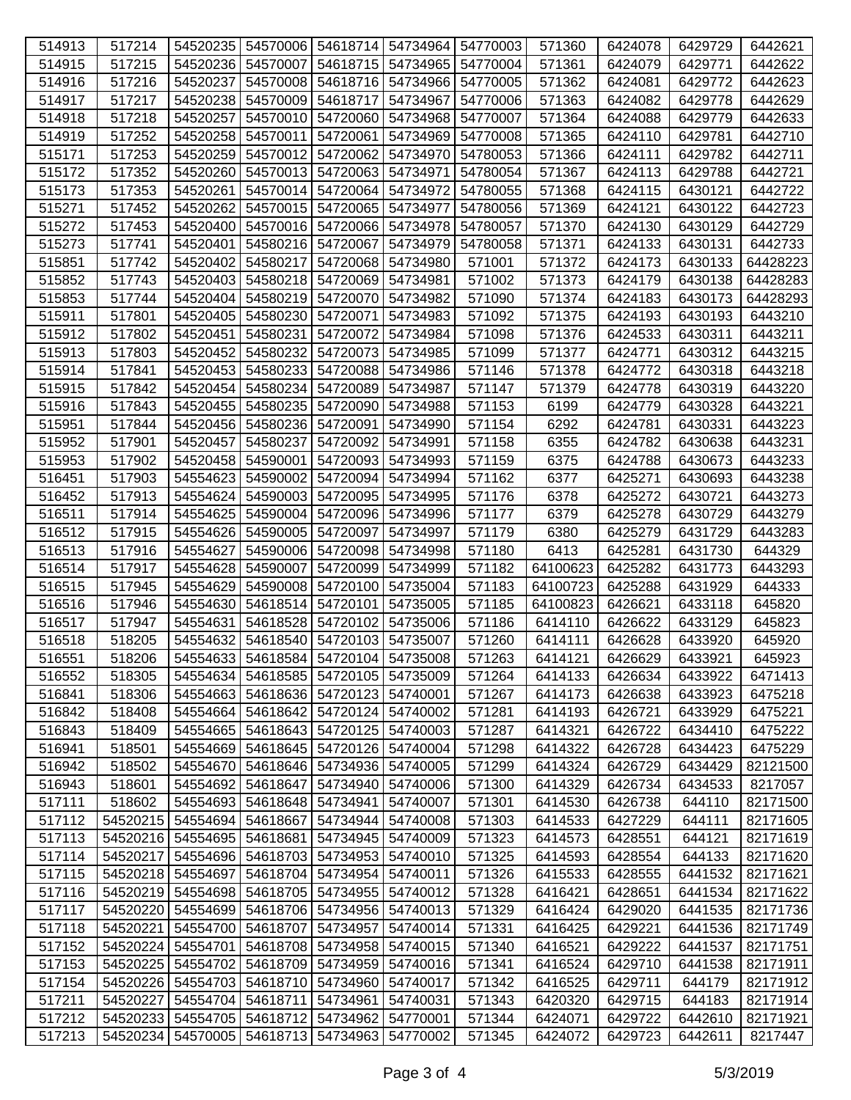| 514913 | 517214   |          |                   | 54520235   54570006   54618714   54734964   54770003 |          |          | 571360   | 6424078 | 6429729 | 6442621  |
|--------|----------|----------|-------------------|------------------------------------------------------|----------|----------|----------|---------|---------|----------|
| 514915 | 517215   | 54520236 | 54570007          | 54618715                                             | 54734965 | 54770004 | 571361   | 6424079 | 6429771 | 6442622  |
| 514916 | 517216   | 54520237 | 54570008          | 54618716 54734966                                    |          | 54770005 | 571362   | 6424081 | 6429772 | 6442623  |
| 514917 | 517217   |          | 54520238 54570009 | 54618717                                             | 54734967 | 54770006 | 571363   | 6424082 | 6429778 | 6442629  |
| 514918 | 517218   | 54520257 | 54570010          | 54720060 54734968                                    |          | 54770007 | 571364   | 6424088 | 6429779 | 6442633  |
| 514919 | 517252   | 54520258 | 54570011          | 54720061                                             | 54734969 | 54770008 | 571365   | 6424110 | 6429781 | 6442710  |
| 515171 | 517253   | 54520259 | 54570012          | 54720062                                             | 54734970 | 54780053 | 571366   | 6424111 | 6429782 | 6442711  |
| 515172 | 517352   | 54520260 | 54570013          | 54720063                                             | 54734971 | 54780054 | 571367   | 6424113 | 6429788 | 6442721  |
| 515173 | 517353   | 54520261 | 54570014          | 54720064                                             | 54734972 | 54780055 | 571368   | 6424115 | 6430121 | 6442722  |
| 515271 | 517452   | 54520262 | 54570015          | 54720065 54734977                                    |          | 54780056 | 571369   | 6424121 | 6430122 | 6442723  |
| 515272 | 517453   |          | 54520400 54570016 | 54720066 54734978                                    |          | 54780057 | 571370   | 6424130 | 6430129 | 6442729  |
| 515273 | 517741   | 54520401 | 54580216          | 54720067                                             | 54734979 | 54780058 | 571371   | 6424133 | 6430131 | 6442733  |
| 515851 | 517742   | 54520402 | 54580217          | 54720068                                             | 54734980 | 571001   | 571372   | 6424173 | 6430133 | 64428223 |
| 515852 | 517743   | 54520403 | 54580218          | 54720069                                             | 54734981 | 571002   | 571373   | 6424179 | 6430138 | 64428283 |
| 515853 | 517744   | 54520404 | 54580219          | 54720070                                             | 54734982 | 571090   | 571374   | 6424183 | 6430173 | 64428293 |
| 515911 | 517801   |          | 54520405 54580230 | 54720071                                             | 54734983 | 571092   | 571375   | 6424193 | 6430193 | 6443210  |
| 515912 | 517802   | 54520451 | 54580231          | 54720072                                             | 54734984 | 571098   | 571376   | 6424533 | 6430311 | 6443211  |
| 515913 | 517803   | 54520452 | 54580232          | 54720073                                             | 54734985 | 571099   | 571377   | 6424771 | 6430312 | 6443215  |
| 515914 | 517841   | 54520453 | 54580233          | 54720088                                             | 54734986 | 571146   | 571378   | 6424772 | 6430318 | 6443218  |
| 515915 | 517842   | 54520454 | 54580234          | 54720089                                             | 54734987 | 571147   | 571379   | 6424778 | 6430319 | 6443220  |
| 515916 | 517843   | 54520455 | 54580235          | 54720090                                             | 54734988 | 571153   | 6199     | 6424779 | 6430328 | 6443221  |
| 515951 | 517844   |          | 54520456 54580236 | 54720091                                             | 54734990 | 571154   | 6292     | 6424781 | 6430331 | 6443223  |
| 515952 | 517901   | 54520457 | 54580237          | 54720092                                             | 54734991 | 571158   | 6355     | 6424782 | 6430638 | 6443231  |
| 515953 | 517902   |          | 54520458 54590001 | 54720093                                             | 54734993 | 571159   | 6375     | 6424788 | 6430673 | 6443233  |
| 516451 | 517903   |          | 54554623 54590002 | 54720094                                             | 54734994 | 571162   | 6377     | 6425271 | 6430693 | 6443238  |
| 516452 | 517913   | 54554624 | 54590003          | 54720095                                             | 54734995 | 571176   | 6378     | 6425272 | 6430721 | 6443273  |
| 516511 | 517914   | 54554625 | 54590004          | 54720096                                             | 54734996 | 571177   | 6379     | 6425278 | 6430729 | 6443279  |
| 516512 | 517915   |          | 54554626 54590005 | 54720097                                             | 54734997 | 571179   | 6380     | 6425279 | 6431729 | 6443283  |
| 516513 | 517916   | 54554627 | 54590006          | 54720098                                             | 54734998 | 571180   | 6413     | 6425281 | 6431730 | 644329   |
| 516514 | 517917   |          | 54554628 54590007 | 54720099                                             | 54734999 | 571182   | 64100623 | 6425282 | 6431773 | 6443293  |
| 516515 | 517945   | 54554629 | 54590008          | 54720100                                             | 54735004 | 571183   | 64100723 | 6425288 | 6431929 | 644333   |
| 516516 | 517946   | 54554630 | 54618514          | 54720101                                             | 54735005 | 571185   | 64100823 | 6426621 | 6433118 | 645820   |
| 516517 | 517947   | 54554631 | 54618528          | 54720102                                             | 54735006 | 571186   | 6414110  | 6426622 | 6433129 | 645823   |
| 516518 | 518205   |          | 54554632 54618540 | 54720103 54735007                                    |          | 571260   | 6414111  | 6426628 | 6433920 | 645920   |
| 516551 | 518206   |          |                   | 54554633 54618584 54720104 54735008                  |          | 571263   | 6414121  | 6426629 | 6433921 | 645923   |
| 516552 | 518305   |          |                   | 54554634   54618585   54720105   54735009            |          | 571264   | 6414133  | 6426634 | 6433922 | 6471413  |
| 516841 | 518306   |          | 54554663 54618636 | 54720123 54740001                                    |          | 571267   | 6414173  | 6426638 | 6433923 | 6475218  |
| 516842 | 518408   |          | 54554664 54618642 | 54720124 54740002                                    |          | 571281   | 6414193  | 6426721 | 6433929 | 6475221  |
| 516843 | 518409   | 54554665 | 54618643          | 54720125                                             | 54740003 | 571287   | 6414321  | 6426722 | 6434410 | 6475222  |
| 516941 | 518501   |          | 54554669 54618645 | 54720126                                             | 54740004 | 571298   | 6414322  | 6426728 | 6434423 | 6475229  |
| 516942 | 518502   |          | 54554670 54618646 | 54734936 54740005                                    |          | 571299   | 6414324  | 6426729 | 6434429 | 82121500 |
| 516943 | 518601   |          | 54554692 54618647 | 54734940 54740006                                    |          | 571300   | 6414329  | 6426734 | 6434533 | 8217057  |
| 517111 | 518602   |          | 54554693 54618648 | 54734941 54740007                                    |          | 571301   | 6414530  | 6426738 | 644110  | 82171500 |
| 517112 | 54520215 |          | 54554694 54618667 | 54734944 54740008                                    |          | 571303   | 6414533  | 6427229 | 644111  | 82171605 |
| 517113 | 54520216 | 54554695 | 54618681          | 54734945 54740009                                    |          | 571323   | 6414573  | 6428551 | 644121  | 82171619 |
| 517114 | 54520217 |          | 54554696 54618703 | 54734953                                             | 54740010 | 571325   | 6414593  | 6428554 | 644133  | 82171620 |
| 517115 | 54520218 |          | 54554697 54618704 | 54734954 54740011                                    |          | 571326   | 6415533  | 6428555 | 6441532 | 82171621 |
| 517116 | 54520219 |          | 54554698 54618705 | 54734955 54740012                                    |          | 571328   | 6416421  | 6428651 | 6441534 | 82171622 |
| 517117 | 54520220 |          |                   | 54554699   54618706   54734956   54740013            |          | 571329   | 6416424  | 6429020 | 6441535 | 82171736 |
| 517118 | 54520221 |          | 54554700 54618707 | 54734957 54740014                                    |          | 571331   | 6416425  | 6429221 | 6441536 | 82171749 |
| 517152 | 54520224 | 54554701 | 54618708          | 54734958                                             | 54740015 | 571340   | 6416521  | 6429222 | 6441537 | 82171751 |
| 517153 | 54520225 | 54554702 | 54618709          | 54734959                                             | 54740016 | 571341   | 6416524  | 6429710 | 6441538 | 82171911 |
| 517154 | 54520226 |          | 54554703 54618710 | 54734960                                             | 54740017 | 571342   | 6416525  | 6429711 | 644179  | 82171912 |
| 517211 | 54520227 |          | 54554704 54618711 | 54734961                                             | 54740031 | 571343   | 6420320  | 6429715 | 644183  | 82171914 |
| 517212 | 54520233 |          | 54554705 54618712 | 54734962 54770001                                    |          | 571344   | 6424071  | 6429722 | 6442610 | 82171921 |
|        |          |          |                   |                                                      |          |          |          |         |         |          |